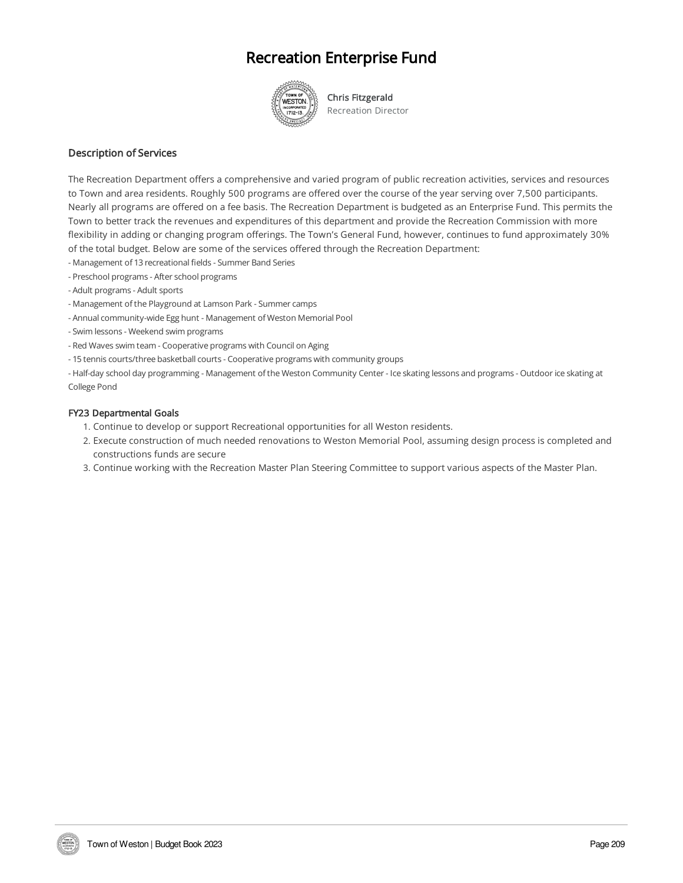## Recreation Enterprise Fund



Chris Fitzgerald Recreation Director

#### Description of Services

The Recreation Department offers a comprehensive and varied program of public recreation activities, services and resources to Town and area residents. Roughly 500 programs are offered over the course of the year serving over 7,500 participants. Nearly all programs are offered on a fee basis. The Recreation Department is budgeted as an Enterprise Fund. This permits the Town to better track the revenues and expenditures of this department and provide the Recreation Commission with more flexibility in adding or changing program offerings. The Town's General Fund, however, continues to fund approximately 30% of the total budget. Below are some of the services offered through the Recreation Department:

- Management of 13 recreational fields Summer Band Series
- Preschool programs After school programs
- Adult programs Adult sports
- Management of the Playground at Lamson Park Summer camps
- Annual community-wide Egg hunt Management of Weston Memorial Pool
- Swim lessons Weekend swim programs
- Red Waves swim team -Cooperative programs with Council on Aging
- 15 tennis courts/three basketball courts Cooperative programs with community groups

- Half-day school day programming - Management of the Weston Community Center - Ice skating lessons and programs - Outdoor ice skating at College Pond

#### FY23 Departmental Goals

- 1. Continue to develop or support Recreational opportunities for all Weston residents.
- 2. Execute construction of much needed renovations to Weston Memorial Pool, assuming design process is completed and constructions funds are secure
- 3. Continue working with the Recreation Master Plan Steering Committee to support various aspects of the Master Plan.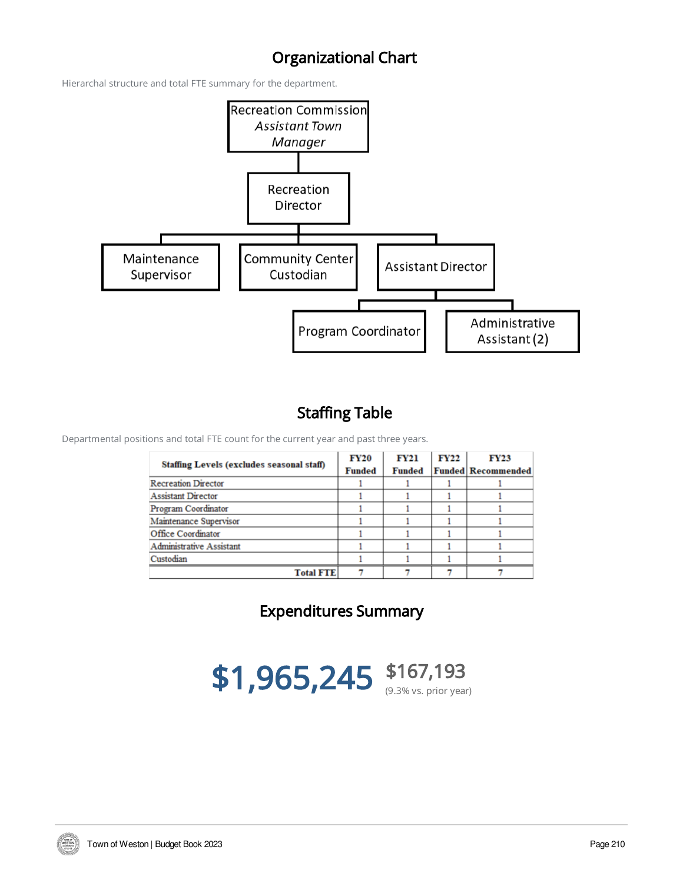## Organizational Chart

Hierarchal structure and total FTE summary for the department.



## Staffing Table

Departmental positions and total FTE count for the current year and past three years.

| Staffing Levels (excludes seasonal staff) | FY20<br><b>Funded</b> | <b>FY21</b><br><b>Funded</b> | FY22 | <b>FY23</b><br><b>Funded Recommended</b> |
|-------------------------------------------|-----------------------|------------------------------|------|------------------------------------------|
| <b>Recreation Director</b>                |                       |                              |      |                                          |
| <b>Assistant Director</b>                 |                       |                              |      |                                          |
| Program Coordinator                       |                       |                              |      |                                          |
| Maintenance Supervisor                    |                       |                              |      |                                          |
| Office Coordinator                        |                       |                              |      |                                          |
| <b>Administrative Assistant</b>           |                       |                              |      |                                          |
| Custodian                                 |                       |                              |      |                                          |
| <b>Total FTE</b>                          |                       |                              |      |                                          |

Expenditures Summary



**TOWN OF**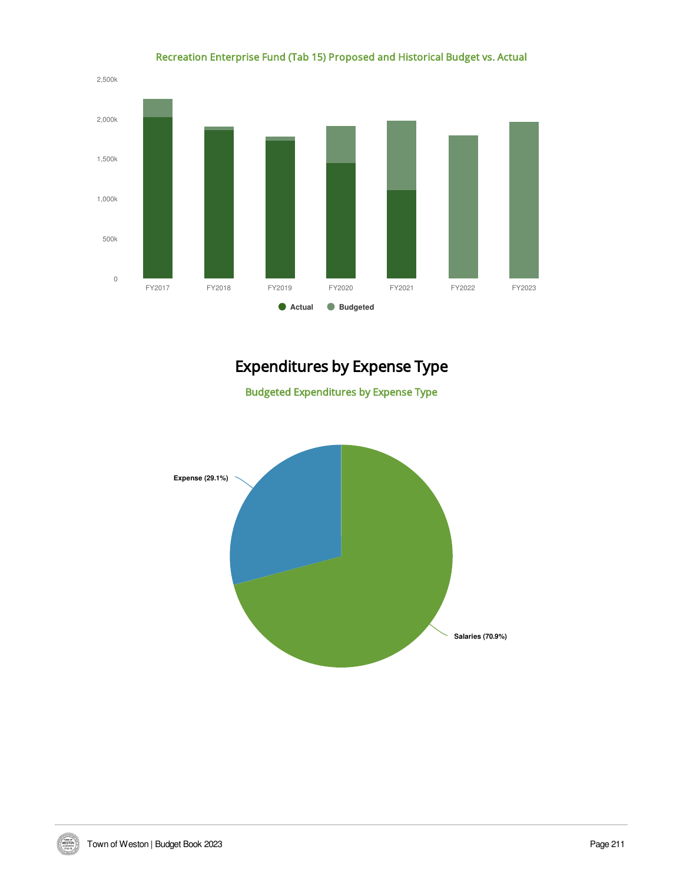

#### Recreation Enterprise Fund (Tab 15) Proposed and Historical Budget vs. Actual

# Expenditures by Expense Type

Budgeted Expenditures by Expense Type



WESTON.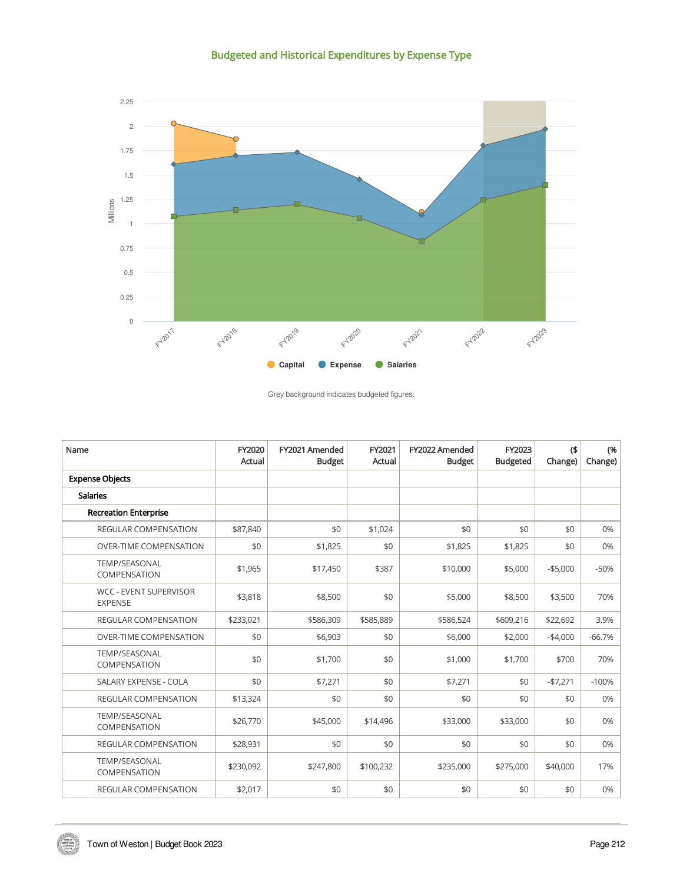Budgeted and Historical Expenditures by Expense Type



Grey background indicates budgeted figures.

| Name                                            | FY2020<br>Actual | FY2021 Amended<br><b>Budget</b> | FY2021<br>Actual | FY2022 Amended<br><b>Budget</b> | FY2023<br><b>Budgeted</b> | $($ \$<br>Change) | (%<br>Change) |
|-------------------------------------------------|------------------|---------------------------------|------------------|---------------------------------|---------------------------|-------------------|---------------|
| <b>Expense Objects</b>                          |                  |                                 |                  |                                 |                           |                   |               |
| <b>Salaries</b>                                 |                  |                                 |                  |                                 |                           |                   |               |
| <b>Recreation Enterprise</b>                    |                  |                                 |                  |                                 |                           |                   |               |
| <b>REGULAR COMPENSATION</b>                     | \$87,840         | \$0                             | \$1,024          | \$0                             | \$0                       | \$0               | 0%            |
| <b>OVER-TIME COMPENSATION</b>                   | \$0              | \$1,825                         | \$0              | \$1,825                         | \$1,825                   | \$0               | 0%            |
| TEMP/SEASONAL<br>COMPENSATION                   | \$1,965          | \$17,450                        | \$387            | \$10,000                        | \$5,000                   | $-$ \$5,000       | $-50%$        |
| <b>WCC - EVENT SUPERVISOR</b><br><b>EXPENSE</b> | \$3,818          | \$8,500                         | \$0              | \$5,000                         | \$8,500                   | \$3,500           | 70%           |
| <b>REGULAR COMPENSATION</b>                     | \$233,021        | \$586,309                       | \$585,889        | \$586,524                       | \$609,216                 | \$22,692          | 3.9%          |
| <b>OVER-TIME COMPENSATION</b>                   | \$0              | \$6,903                         | \$0              | \$6,000                         | \$2,000                   | $-$4,000$         | $-66.7%$      |
| <b>TEMP/SEASONAL</b><br>COMPENSATION            | \$0              | \$1,700                         | \$0              | \$1,000                         | \$1,700                   | \$700             | 70%           |
| SALARY EXPENSE - COLA                           | \$0              | \$7,271                         | \$0              | \$7,271                         | \$0                       | $-$7,271$         | $-100%$       |
| <b>REGULAR COMPENSATION</b>                     | \$13,324         | \$0                             | \$0              | \$0                             | \$0                       | \$0               | 0%            |
| TEMP/SEASONAL<br>COMPENSATION                   | \$26,770         | \$45,000                        | \$14,496         | \$33,000                        | \$33,000                  | \$0               | 0%            |
| <b>REGULAR COMPENSATION</b>                     | \$28,931         | \$0                             | \$0              | \$0                             | \$0                       | \$0               | 0%            |
| TEMP/SEASONAL<br>COMPENSATION                   | \$230,092        | \$247,800                       | \$100,232        | \$235,000                       | \$275,000                 | \$40,000          | 17%           |
| <b>REGULAR COMPENSATION</b>                     | \$2,017          | \$0                             | \$0              | \$0                             | \$0                       | \$0               | 0%            |

WESTON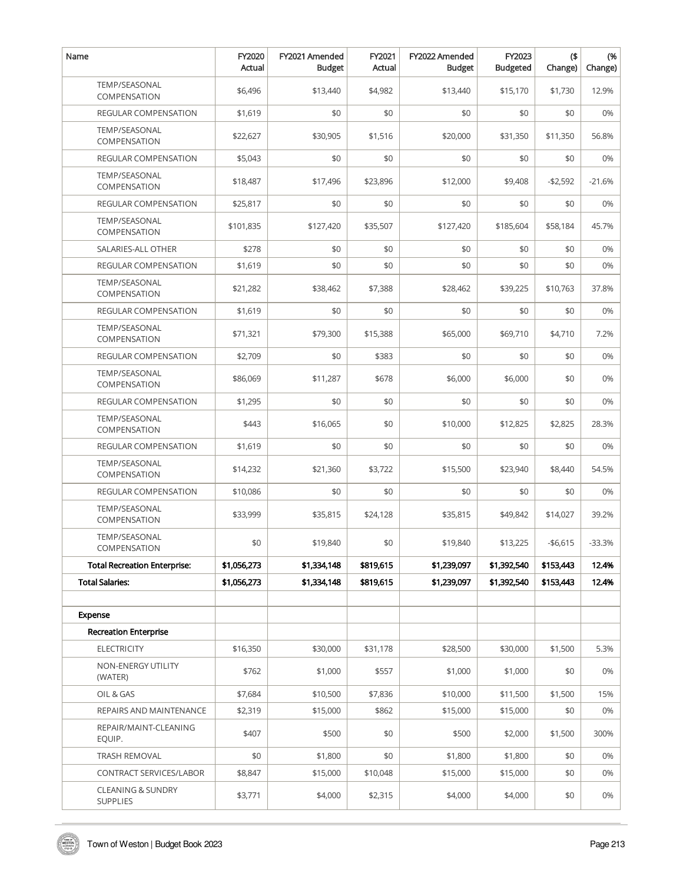| Name                                 | FY2020<br>Actual | FY2021 Amended<br><b>Budget</b> | FY2021<br>Actual | FY2022 Amended<br><b>Budget</b> | FY2023<br><b>Budgeted</b> | $($ \$<br>Change) | (%<br>Change) |
|--------------------------------------|------------------|---------------------------------|------------------|---------------------------------|---------------------------|-------------------|---------------|
| <b>TEMP/SEASONAL</b><br>COMPENSATION | \$6,496          | \$13,440                        | \$4,982          | \$13,440                        | \$15,170                  | \$1,730           | 12.9%         |
| REGULAR COMPENSATION                 | \$1,619          | \$0                             | \$0              | \$0                             | \$0                       | \$0               | 0%            |
| TEMP/SEASONAL<br>COMPENSATION        | \$22,627         | \$30,905                        | \$1,516          | \$20,000                        | \$31,350                  | \$11,350          | 56.8%         |
| REGULAR COMPENSATION                 | \$5,043          | \$0                             | \$0              | \$0                             | \$0                       | \$0               | 0%            |
| <b>TEMP/SEASONAL</b><br>COMPENSATION | \$18,487         | \$17,496                        | \$23,896         | \$12,000                        | \$9,408                   | $-$2,592$         | $-21.6%$      |
| <b>REGULAR COMPENSATION</b>          | \$25,817         | \$0                             | \$0              | \$0                             | \$0                       | \$0               | 0%            |
| TEMP/SEASONAL<br>COMPENSATION        | \$101,835        | \$127,420                       | \$35,507         | \$127,420                       | \$185,604                 | \$58,184          | 45.7%         |
| SALARIES-ALL OTHER                   | \$278            | \$0                             | \$0              | \$0                             | \$0                       | \$0               | 0%            |
| REGULAR COMPENSATION                 | \$1,619          | \$0                             | \$0              | \$0                             | \$0                       | \$0               | 0%            |
| <b>TEMP/SEASONAL</b><br>COMPENSATION | \$21,282         | \$38,462                        | \$7,388          | \$28,462                        | \$39,225                  | \$10,763          | 37.8%         |
| <b>REGULAR COMPENSATION</b>          | \$1,619          | \$0                             | \$0              | \$0                             | \$0                       | \$0               | 0%            |
| TEMP/SEASONAL<br>COMPENSATION        | \$71,321         | \$79,300                        | \$15,388         | \$65,000                        | \$69,710                  | \$4,710           | 7.2%          |
| <b>REGULAR COMPENSATION</b>          | \$2,709          | \$0                             | \$383            | \$0                             | \$0                       | \$0               | 0%            |
| TEMP/SEASONAL<br>COMPENSATION        | \$86,069         | \$11,287                        | \$678            | \$6,000                         | \$6,000                   | \$0               | 0%            |
| REGULAR COMPENSATION                 | \$1,295          | \$0                             | \$0              | \$0                             | \$0                       | \$0               | 0%            |
| <b>TEMP/SEASONAL</b><br>COMPENSATION | \$443            | \$16,065                        | \$0              | \$10,000                        | \$12,825                  | \$2,825           | 28.3%         |
| <b>REGULAR COMPENSATION</b>          | \$1,619          | \$0                             | \$0              | \$0                             | \$0                       | \$0               | 0%            |
| <b>TEMP/SEASONAL</b><br>COMPENSATION | \$14,232         | \$21,360                        | \$3,722          | \$15,500                        | \$23,940                  | \$8,440           | 54.5%         |
| <b>REGULAR COMPENSATION</b>          | \$10,086         | \$0                             | \$0              | \$0                             | \$0                       | \$0               | 0%            |
| <b>TEMP/SEASONAL</b><br>COMPENSATION | \$33,999         | \$35,815                        | \$24,128         | \$35,815                        | \$49,842                  | \$14,027          | 39.2%         |
| TEMP/SEASONAL<br>COMPENSATION        | \$0              | \$19,840                        | \$0              | \$19,840                        | \$13,225                  | $-$6,615$         | $-33.3%$      |
| Total Recreation Enterprise:         | \$1,056,273      | \$1,334,148                     | \$819,615        | \$1,239,097                     | \$1,392,540               | \$153,443         | 12.4%         |
| <b>Total Salaries:</b>               | \$1,056,273      | \$1,334,148                     | \$819,615        | \$1,239,097                     | \$1,392,540               | \$153,443         | 12.4%         |
|                                      |                  |                                 |                  |                                 |                           |                   |               |
| Expense                              |                  |                                 |                  |                                 |                           |                   |               |
| <b>Recreation Enterprise</b>         |                  |                                 |                  |                                 |                           |                   |               |
| <b>ELECTRICITY</b>                   | \$16,350         | \$30,000                        | \$31,178         | \$28,500                        | \$30,000                  | \$1,500           | 5.3%          |
| NON-ENERGY UTILITY<br>(WATER)        | \$762            | \$1,000                         | \$557            | \$1,000                         | \$1,000                   | \$0               | 0%            |
| OIL & GAS                            | \$7,684          | \$10,500                        | \$7,836          | \$10,000                        | \$11,500                  | \$1,500           | 15%           |
| REPAIRS AND MAINTENANCE              | \$2,319          | \$15,000                        | \$862            | \$15,000                        | \$15,000                  | \$0               | 0%            |
| REPAIR/MAINT-CLEANING<br>EQUIP.      | \$407            | \$500                           | \$0              | \$500                           | \$2,000                   | \$1,500           | 300%          |
| TRASH REMOVAL                        | \$0              | \$1,800                         | \$0              | \$1,800                         | \$1,800                   | \$0               | 0%            |
| CONTRACT SERVICES/LABOR              | \$8,847          | \$15,000                        | \$10,048         | \$15,000                        | \$15,000                  | \$0               | 0%            |
| CLEANING & SUNDRY<br><b>SUPPLIES</b> | \$3,771          | \$4,000                         | \$2,315          | \$4,000                         | \$4,000                   | \$0               | 0%            |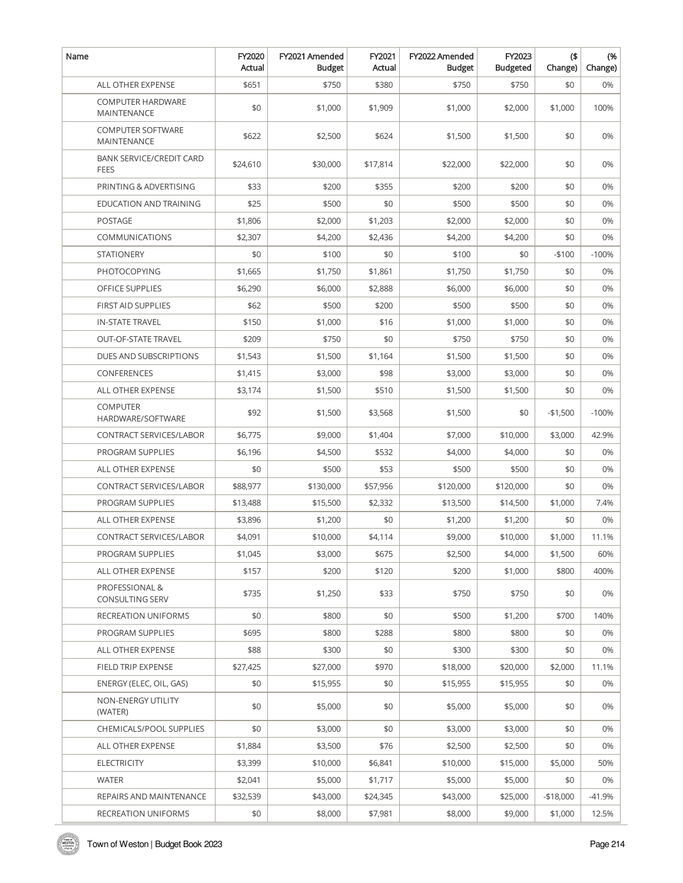| Name |                                                | FY2020<br>Actual | FY2021 Amended<br><b>Budget</b> | FY2021<br>Actual | FY2022 Amended<br><b>Budget</b> | FY2023<br><b>Budgeted</b> | $($ \$<br>Change) | (%<br>Change) |
|------|------------------------------------------------|------------------|---------------------------------|------------------|---------------------------------|---------------------------|-------------------|---------------|
|      | <b>ALL OTHER EXPENSE</b>                       | \$651            | \$750                           | \$380            | \$750                           | \$750                     | \$0               | 0%            |
|      | <b>COMPUTER HARDWARE</b><br>MAINTENANCE        | \$0              | \$1,000                         | \$1,909          | \$1,000                         | \$2,000                   | \$1,000           | 100%          |
|      | <b>COMPUTER SOFTWARE</b><br>MAINTENANCE        | \$622            | \$2,500                         | \$624            | \$1,500                         | \$1,500                   | \$0               | 0%            |
|      | <b>BANK SERVICE/CREDIT CARD</b><br><b>FEES</b> | \$24,610         | \$30,000                        | \$17,814         | \$22,000                        | \$22,000                  | \$0               | 0%            |
|      | PRINTING & ADVERTISING                         | \$33             | \$200                           | \$355            | \$200                           | \$200                     | \$0               | 0%            |
|      | EDUCATION AND TRAINING                         | \$25             | \$500                           | \$0              | \$500                           | \$500                     | \$0               | 0%            |
|      | <b>POSTAGE</b>                                 | \$1,806          | \$2,000                         | \$1,203          | \$2,000                         | \$2,000                   | \$0               | 0%            |
|      | <b>COMMUNICATIONS</b>                          | \$2,307          | \$4,200                         | \$2,436          | \$4,200                         | \$4,200                   | \$0               | 0%            |
|      | <b>STATIONERY</b>                              | \$0              | \$100                           | \$0              | \$100                           | \$0                       | $-$100$           | $-100%$       |
|      | PHOTOCOPYING                                   | \$1,665          | \$1,750                         | \$1,861          | \$1,750                         | \$1,750                   | \$0               | 0%            |
|      | <b>OFFICE SUPPLIES</b>                         | \$6,290          | \$6,000                         | \$2,888          | \$6,000                         | \$6,000                   | \$0               | 0%            |
|      | <b>FIRST AID SUPPLIES</b>                      | \$62             | \$500                           | \$200            | \$500                           | \$500                     | \$0               | 0%            |
|      | <b>IN-STATE TRAVEL</b>                         | \$150            | \$1,000                         | \$16             | \$1,000                         | \$1,000                   | \$0               | 0%            |
|      | <b>OUT-OF-STATE TRAVEL</b>                     | \$209            | \$750                           | \$0              | \$750                           | \$750                     | \$0               | 0%            |
|      | DUES AND SUBSCRIPTIONS                         | \$1,543          | \$1,500                         | \$1,164          | \$1,500                         | \$1,500                   | \$0               | 0%            |
|      | CONFERENCES                                    | \$1,415          | \$3,000                         | \$98             | \$3,000                         | \$3,000                   | \$0               | 0%            |
|      | ALL OTHER EXPENSE                              | \$3,174          | \$1,500                         | \$510            | \$1,500                         | \$1,500                   | \$0               | 0%            |
|      | <b>COMPUTER</b><br>HARDWARE/SOFTWARE           | \$92             | \$1,500                         | \$3,568          | \$1,500                         | \$0                       | -\$1,500          | $-100%$       |
|      | CONTRACT SERVICES/LABOR                        | \$6,775          | \$9,000                         | \$1,404          | \$7,000                         | \$10,000                  | \$3,000           | 42.9%         |
|      | PROGRAM SUPPLIES                               | \$6,196          | \$4,500                         | \$532            | \$4,000                         | \$4,000                   | \$0               | 0%            |
|      | <b>ALL OTHER EXPENSE</b>                       | \$0              | \$500                           | \$53             | \$500                           | \$500                     | \$0               | 0%            |
|      | CONTRACT SERVICES/LABOR                        | \$88,977         | \$130,000                       | \$57,956         | \$120,000                       | \$120,000                 | \$0               | 0%            |
|      | PROGRAM SUPPLIES                               | \$13,488         | \$15,500                        | \$2,332          | \$13,500                        | \$14,500                  | \$1,000           | 7.4%          |
|      | <b>ALL OTHER EXPENSE</b>                       | \$3,896          | \$1,200                         | \$0              | \$1,200                         | \$1,200                   | \$0               | 0%            |
|      | <b>CONTRACT SERVICES/LABOR</b>                 | \$4,091          | \$10,000                        | \$4,114          | \$9,000                         | \$10,000                  | \$1,000           | 11.1%         |
|      | PROGRAM SUPPLIES                               | \$1,045          | \$3,000                         | \$675            | \$2,500                         | \$4,000                   | \$1,500           | 60%           |
|      | ALL OTHER EXPENSE                              | \$157            | \$200                           | \$120            | \$200                           | \$1,000                   | \$800             | 400%          |
|      | PROFESSIONAL &<br><b>CONSULTING SERV</b>       | \$735            | \$1,250                         | \$33             | \$750                           | \$750                     | \$0               | 0%            |
|      | RECREATION UNIFORMS                            | \$0              | \$800                           | \$0              | \$500                           | \$1,200                   | \$700             | 140%          |
|      | PROGRAM SUPPLIES                               | \$695            | \$800                           | \$288            | \$800                           | \$800                     | \$0               | 0%            |
|      | ALL OTHER EXPENSE                              | \$88             | \$300                           | \$0              | \$300                           | \$300                     | \$0               | 0%            |
|      | FIELD TRIP EXPENSE                             | \$27,425         | \$27,000                        | \$970            | \$18,000                        | \$20,000                  | \$2,000           | 11.1%         |
|      | ENERGY (ELEC, OIL, GAS)                        | \$0              | \$15,955                        | \$0              | \$15,955                        | \$15,955                  | \$0               | 0%            |
|      | NON-ENERGY UTILITY<br>(WATER)                  | \$0              | \$5,000                         | \$0              | \$5,000                         | \$5,000                   | \$0               | 0%            |
|      | CHEMICALS/POOL SUPPLIES                        | \$0              | \$3,000                         | \$0              | \$3,000                         | \$3,000                   | \$0               | 0%            |
|      | ALL OTHER EXPENSE                              | \$1,884          | \$3,500                         | \$76             | \$2,500                         | \$2,500                   | \$0               | 0%            |
|      | <b>ELECTRICITY</b>                             | \$3,399          | \$10,000                        | \$6,841          | \$10,000                        | \$15,000                  | \$5,000           | 50%           |
|      | <b>WATER</b>                                   | \$2,041          | \$5,000                         | \$1,717          | \$5,000                         | \$5,000                   | \$0               | 0%            |
|      | REPAIRS AND MAINTENANCE                        | \$32,539         | \$43,000                        | \$24,345         | \$43,000                        | \$25,000                  | $-$18,000$        | $-41.9%$      |
|      | RECREATION UNIFORMS                            | \$0              | \$8,000                         | \$7,981          | \$8,000                         | \$9,000                   | \$1,000           | 12.5%         |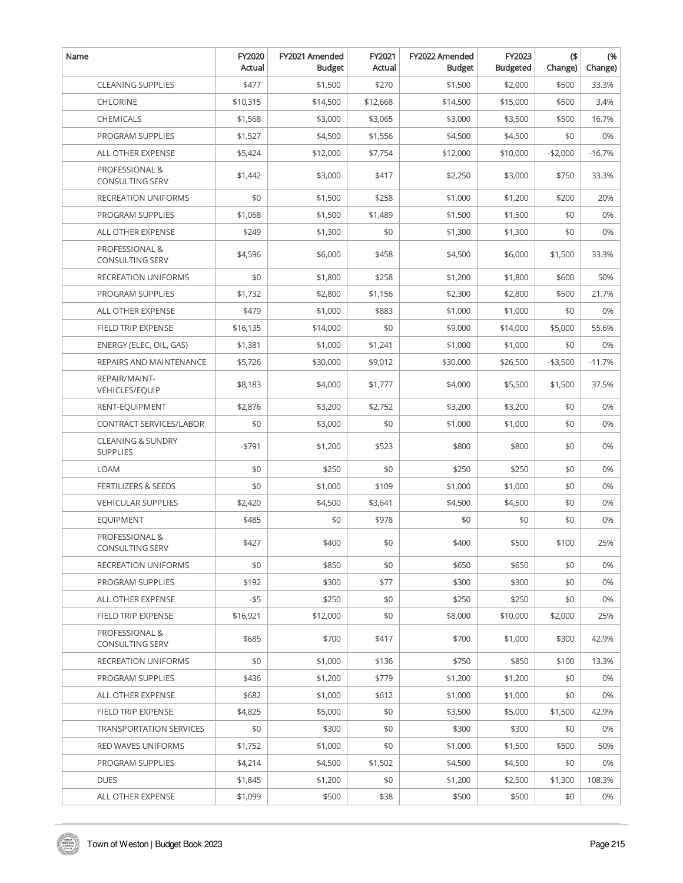| Name                                            | FY2020<br>Actual | FY2021 Amended<br><b>Budget</b> | FY2021<br>Actual | FY2022 Amended<br><b>Budget</b> | FY2023<br><b>Budgeted</b> | $($ \$<br>Change) | (%<br>Change) |
|-------------------------------------------------|------------------|---------------------------------|------------------|---------------------------------|---------------------------|-------------------|---------------|
| <b>CLEANING SUPPLIES</b>                        | \$477            | \$1,500                         | \$270            | \$1,500                         | \$2,000                   | \$500             | 33.3%         |
| <b>CHLORINE</b>                                 | \$10,315         | \$14,500                        | \$12,668         | \$14,500                        | \$15,000                  | \$500             | 3.4%          |
| <b>CHEMICALS</b>                                | \$1,568          | \$3,000                         | \$3,065          | \$3,000                         | \$3,500                   | \$500             | 16.7%         |
| PROGRAM SUPPLIES                                | \$1,527          | \$4,500                         | \$1,556          | \$4,500                         | \$4,500                   | \$0               | 0%            |
| ALL OTHER EXPENSE                               | \$5,424          | \$12,000                        | \$7,754          | \$12,000                        | \$10,000                  | $-$2,000$         | $-16.7%$      |
| PROFESSIONAL &<br><b>CONSULTING SERV</b>        | \$1,442          | \$3,000                         | \$417            | \$2,250                         | \$3,000                   | \$750             | 33.3%         |
| RECREATION UNIFORMS                             | \$0              | \$1,500                         | \$258            | \$1,000                         | \$1,200                   | \$200             | 20%           |
| <b>PROGRAM SUPPLIES</b>                         | \$1,068          | \$1,500                         | \$1,489          | \$1,500                         | \$1,500                   | \$0               | 0%            |
| ALL OTHER EXPENSE                               | \$249            | \$1,300                         | \$0              | \$1,300                         | \$1,300                   | \$0               | 0%            |
| PROFESSIONAL &<br><b>CONSULTING SERV</b>        | \$4,596          | \$6,000                         | \$458            | \$4,500                         | \$6,000                   | \$1,500           | 33.3%         |
| RECREATION UNIFORMS                             | \$0              | \$1,800                         | \$258            | \$1,200                         | \$1,800                   | \$600             | 50%           |
| PROGRAM SUPPLIES                                | \$1,732          | \$2,800                         | \$1,156          | \$2,300                         | \$2,800                   | \$500             | 21.7%         |
| ALL OTHER EXPENSE                               | \$479            | \$1,000                         | \$883            | \$1,000                         | \$1,000                   | \$0               | 0%            |
| FIELD TRIP EXPENSE                              | \$16,135         | \$14,000                        | \$0              | \$9,000                         | \$14,000                  | \$5,000           | 55.6%         |
| ENERGY (ELEC, OIL, GAS)                         | \$1,381          | \$1,000                         | \$1,241          | \$1,000                         | \$1,000                   | \$0               | 0%            |
| REPAIRS AND MAINTENANCE                         | \$5,726          | \$30,000                        | \$9,012          | \$30,000                        | \$26,500                  | $- $3,500$        | $-11.7%$      |
| REPAIR/MAINT-<br>VEHICLES/EQUIP                 | \$8,183          | \$4,000                         | \$1,777          | \$4,000                         | \$5,500                   | \$1,500           | 37.5%         |
| RENT-EQUIPMENT                                  | \$2,876          | \$3,200                         | \$2,752          | \$3,200                         | \$3,200                   | \$0               | 0%            |
| CONTRACT SERVICES/LABOR                         | \$0              | \$3,000                         | \$0              | \$1,000                         | \$1,000                   | \$0               | 0%            |
| <b>CLEANING &amp; SUNDRY</b><br><b>SUPPLIES</b> | $-5791$          | \$1,200                         | \$523            | \$800                           | \$800                     | \$0               | 0%            |
| <b>LOAM</b>                                     | \$0              | \$250                           | \$0              | \$250                           | \$250                     | \$0               | 0%            |
| <b>FERTILIZERS &amp; SEEDS</b>                  | \$0              | \$1,000                         | \$109            | \$1,000                         | \$1,000                   | \$0               | 0%            |
| <b>VEHICULAR SUPPLIES</b>                       | \$2,420          | \$4,500                         | \$3,641          | \$4,500                         | \$4,500                   | \$0               | 0%            |
| <b>EQUIPMENT</b>                                | \$485            | \$0                             | \$978            | \$0                             | \$0                       | \$0               | 0%            |
| PROFESSIONAL &<br>CONSULTING SERV               | \$427            | \$400                           | \$0              | \$400                           | \$500                     | \$100             | 25%           |
| RECREATION UNIFORMS                             | \$0              | \$850                           | \$0              | \$650                           | \$650                     | \$0               | 0%            |
| PROGRAM SUPPLIES                                | \$192            | \$300                           | \$77             | \$300                           | \$300                     | \$0               | 0%            |
| ALL OTHER EXPENSE                               | -\$5             | \$250                           | \$0              | \$250                           | \$250                     | \$0               | 0%            |
| <b>FIELD TRIP EXPENSE</b>                       | \$16,921         | \$12,000                        | \$0              | \$8,000                         | \$10,000                  | \$2,000           | 25%           |
| PROFESSIONAL &<br><b>CONSULTING SERV</b>        | \$685            | \$700                           | \$417            | \$700                           | \$1,000                   | \$300             | 42.9%         |
| <b>RECREATION UNIFORMS</b>                      | \$0              | \$1,000                         | \$136            | \$750                           | \$850                     | \$100             | 13.3%         |
| PROGRAM SUPPLIES                                | \$436            | \$1,200                         | \$779            | \$1,200                         | \$1,200                   | \$0               | 0%            |
| ALL OTHER EXPENSE                               | \$682            | \$1,000                         | \$612            | \$1,000                         | \$1,000                   | \$0               | 0%            |
| FIELD TRIP EXPENSE                              | \$4,825          | \$5,000                         | \$0              | \$3,500                         | \$5,000                   | \$1,500           | 42.9%         |
| TRANSPORTATION SERVICES                         | \$0              | \$300                           | \$0              | \$300                           | \$300                     | \$0               | 0%            |
| RED WAVES UNIFORMS                              | \$1,752          | \$1,000                         | \$0              | \$1,000                         | \$1,500                   | \$500             | 50%           |
| PROGRAM SUPPLIES                                | \$4,214          | \$4,500                         | \$1,502          | \$4,500                         | \$4,500                   | \$0               | 0%            |
| <b>DUES</b>                                     | \$1,845          | \$1,200                         | \$0              | \$1,200                         | \$2,500                   | \$1,300           | 108.3%        |
| ALL OTHER EXPENSE                               | \$1,099          | \$500                           | \$38             | \$500                           | \$500                     | \$0               | 0%            |